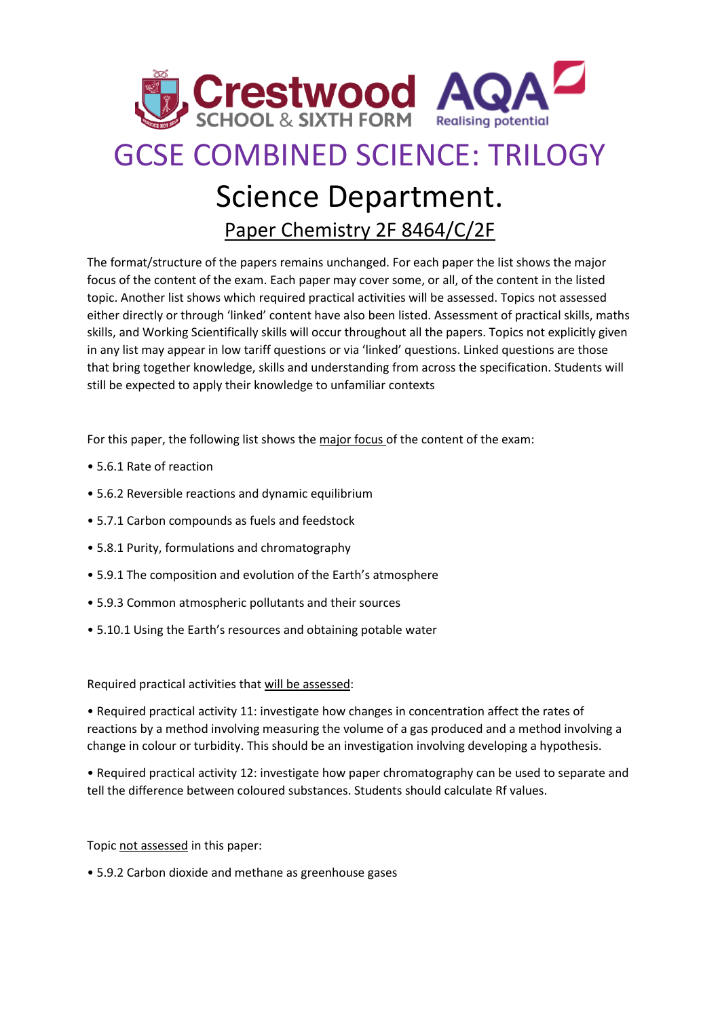

## GCSE COMBINED SCIENCE: TRILOGY

## Science Department.

Paper Chemistry 2F 8464/C/2F

The format/structure of the papers remains unchanged. For each paper the list shows the major focus of the content of the exam. Each paper may cover some, or all, of the content in the listed topic. Another list shows which required practical activities will be assessed. Topics not assessed either directly or through 'linked' content have also been listed. Assessment of practical skills, maths skills, and Working Scientifically skills will occur throughout all the papers. Topics not explicitly given in any list may appear in low tariff questions or via 'linked' questions. Linked questions are those that bring together knowledge, skills and understanding from across the specification. Students will still be expected to apply their knowledge to unfamiliar contexts

For this paper, the following list shows the major focus of the content of the exam:

- 5.6.1 Rate of reaction
- 5.6.2 Reversible reactions and dynamic equilibrium
- 5.7.1 Carbon compounds as fuels and feedstock
- 5.8.1 Purity, formulations and chromatography
- 5.9.1 The composition and evolution of the Earth's atmosphere
- 5.9.3 Common atmospheric pollutants and their sources
- 5.10.1 Using the Earth's resources and obtaining potable water

Required practical activities that will be assessed:

• Required practical activity 11: investigate how changes in concentration affect the rates of reactions by a method involving measuring the volume of a gas produced and a method involving a change in colour or turbidity. This should be an investigation involving developing a hypothesis.

• Required practical activity 12: investigate how paper chromatography can be used to separate and tell the difference between coloured substances. Students should calculate Rf values.

Topic not assessed in this paper:

• 5.9.2 Carbon dioxide and methane as greenhouse gases